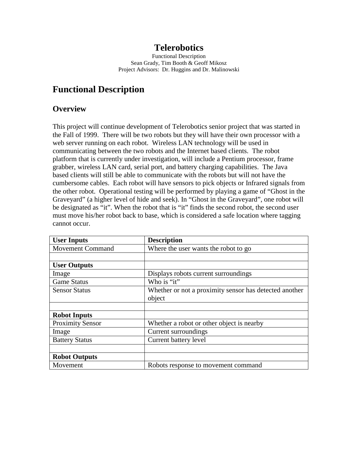## **Telerobotics**

Functional Description Sean Grady, Tim Booth & Geoff Mikosz Project Advisors: Dr. Huggins and Dr. Malinowski

# **Functional Description**

#### **Overview**

This project will continue development of Telerobotics senior project that was started in the Fall of 1999. There will be two robots but they will have their own processor with a web server running on each robot. Wireless LAN technology will be used in communicating between the two robots and the Internet based clients. The robot platform that is currently under investigation, will include a Pentium processor, frame grabber, wireless LAN card, serial port, and battery charging capabilities. The Java based clients will still be able to communicate with the robots but will not have the cumbersome cables. Each robot will have sensors to pick objects or Infrared signals from the other robot. Operational testing will be performed by playing a game of "Ghost in the Graveyard" (a higher level of hide and seek). In "Ghost in the Graveyard", one robot will be designated as "it". When the robot that is "it" finds the second robot, the second user must move his/her robot back to base, which is considered a safe location where tagging cannot occur.

| <b>User Inputs</b>      | <b>Description</b>                                     |
|-------------------------|--------------------------------------------------------|
| <b>Movement Command</b> | Where the user wants the robot to go                   |
|                         |                                                        |
| <b>User Outputs</b>     |                                                        |
| Image                   | Displays robots current surroundings                   |
| <b>Game Status</b>      | Who is "it"                                            |
| <b>Sensor Status</b>    | Whether or not a proximity sensor has detected another |
|                         | object                                                 |
|                         |                                                        |
| <b>Robot Inputs</b>     |                                                        |
| <b>Proximity Sensor</b> | Whether a robot or other object is nearby              |
| Image                   | Current surroundings                                   |
| <b>Battery Status</b>   | Current battery level                                  |
|                         |                                                        |
| <b>Robot Outputs</b>    |                                                        |
| Movement                | Robots response to movement command                    |